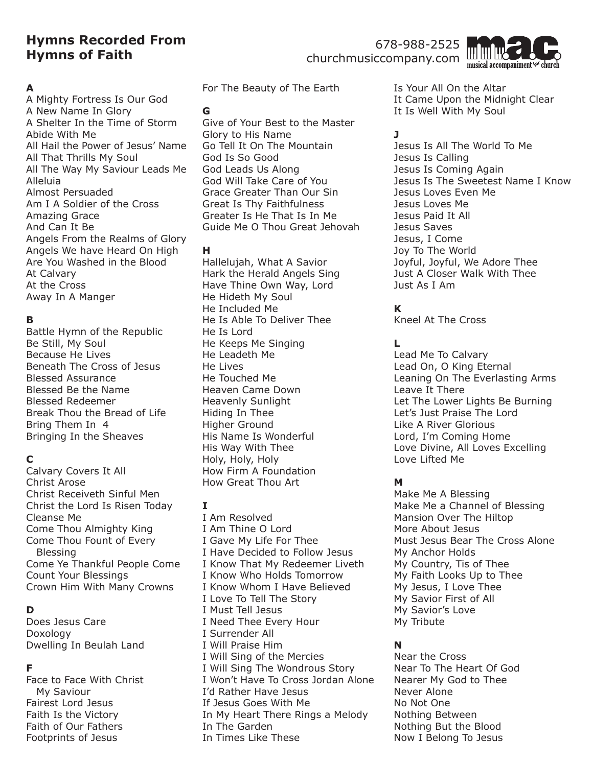# **Hymns Recorded From Hymns of Faith**

### 678-988-2525 churchmusiccompany.com



#### **A**

A Mighty Fortress Is Our God A New Name In Glory A Shelter In the Time of Storm Abide With Me All Hail the Power of Jesus' Name All That Thrills My Soul All The Way My Saviour Leads Me Alleluia Almost Persuaded Am I A Soldier of the Cross Amazing Grace And Can It Be Angels From the Realms of Glory Angels We have Heard On High Are You Washed in the Blood At Calvary At the Cross Away In A Manger

### **B**

Battle Hymn of the Republic Be Still, My Soul Because He Lives Beneath The Cross of Jesus Blessed Assurance Blessed Be the Name Blessed Redeemer Break Thou the Bread of Life Bring Them In 4 Bringing In the Sheaves

# **C**

Calvary Covers It All Christ Arose Christ Receiveth Sinful Men Christ the Lord Is Risen Today Cleanse Me Come Thou Almighty King Come Thou Fount of Every Blessing Come Ye Thankful People Come Count Your Blessings Crown Him With Many Crowns

# **D**

Does Jesus Care Doxology Dwelling In Beulah Land

### **F**

Face to Face With Christ My Saviour Fairest Lord Jesus Faith Is the Victory Faith of Our Fathers Footprints of Jesus

For The Beauty of The Earth

#### **G**

Give of Your Best to the Master Glory to His Name Go Tell It On The Mountain God Is So Good God Leads Us Along God Will Take Care of You Grace Greater Than Our Sin Great Is Thy Faithfulness Greater Is He That Is In Me Guide Me O Thou Great Jehovah

### **H**

Hallelujah, What A Savior Hark the Herald Angels Sing Have Thine Own Way, Lord He Hideth My Soul He Included Me He Is Able To Deliver Thee He Is Lord He Keeps Me Singing He Leadeth Me He Lives He Touched Me Heaven Came Down Heavenly Sunlight Hiding In Thee Higher Ground His Name Is Wonderful His Way With Thee Holy, Holy, Holy How Firm A Foundation How Great Thou Art

### **I**

I Am Resolved I Am Thine O Lord I Gave My Life For Thee I Have Decided to Follow Jesus I Know That My Redeemer Liveth I Know Who Holds Tomorrow I Know Whom I Have Believed I Love To Tell The Story I Must Tell Jesus I Need Thee Every Hour I Surrender All I Will Praise Him I Will Sing of the Mercies I Will Sing The Wondrous Story I Won't Have To Cross Jordan Alone I'd Rather Have Jesus If Jesus Goes With Me In My Heart There Rings a Melody In The Garden In Times Like These

Is Your All On the Altar It Came Upon the Midnight Clear It Is Well With My Soul

# **J**

Jesus Is All The World To Me Jesus Is Calling Jesus Is Coming Again Jesus Is The Sweetest Name I Know Jesus Loves Even Me Jesus Loves Me Jesus Paid It All Jesus Saves Jesus, I Come Joy To The World Joyful, Joyful, We Adore Thee Just A Closer Walk With Thee Just As I Am

# **K**

Kneel At The Cross

# **L**

Lead Me To Calvary Lead On, O King Eternal Leaning On The Everlasting Arms Leave It There Let The Lower Lights Be Burning Let's Just Praise The Lord Like A River Glorious Lord, I'm Coming Home Love Divine, All Loves Excelling Love Lifted Me

# **M**

Make Me A Blessing Make Me a Channel of Blessing Mansion Over The Hiltop More About Jesus Must Jesus Bear The Cross Alone My Anchor Holds My Country, Tis of Thee My Faith Looks Up to Thee My Jesus, I Love Thee My Savior First of All My Savior's Love My Tribute

# **N**

Near the Cross Near To The Heart Of God Nearer My God to Thee Never Alone No Not One Nothing Between Nothing But the Blood Now I Belong To Jesus